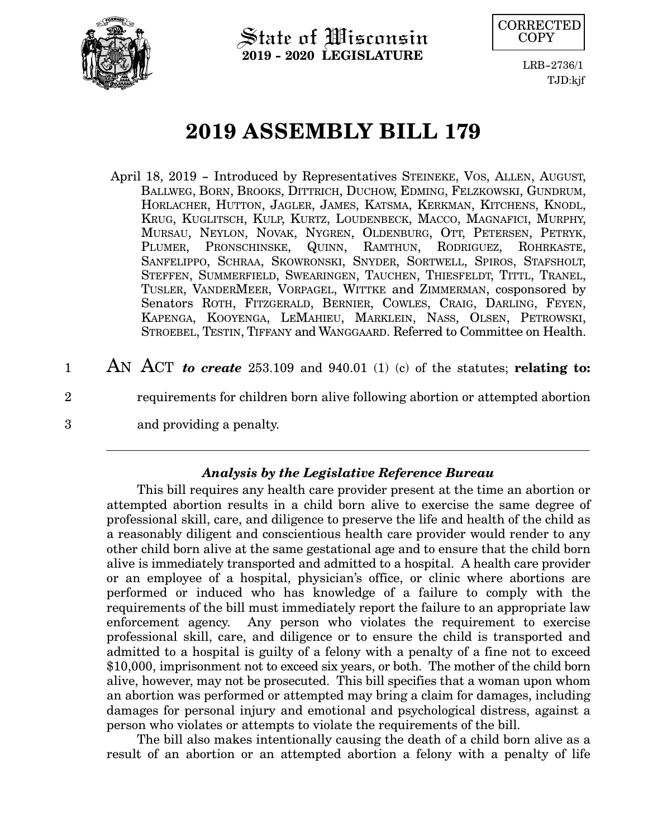

State of Wisconsin **2019 - 2020 LEGISLATURE**



LRB-2736/1 TJD:kjf

# **2019 ASSEMBLY BILL 179**

- April 18, 2019 Introduced by Representatives STEINEKE, VOS, ALLEN, AUGUST, BALLWEG, BORN, BROOKS, DITTRICH, DUCHOW, EDMING, FELZKOWSKI, GUNDRUM, HORLACHER, HUTTON, JAGLER, JAMES, KATSMA, KERKMAN, KITCHENS, KNODL, KRUG, KUGLITSCH, KULP, KURTZ, LOUDENBECK, MACCO, MAGNAFICI, MURPHY, MURSAU, NEYLON, NOVAK, NYGREN, OLDENBURG, OTT, PETERSEN, PETRYK, PLUMER, PRONSCHINSKE, QUINN, RAMTHUN, RODRIGUEZ, ROHRKASTE, SANFELIPPO, SCHRAA, SKOWRONSKI, SNYDER, SORTWELL, SPIROS, STAFSHOLT, STEFFEN, SUMMERFIELD, SWEARINGEN, TAUCHEN, THIESFELDT, TITTL, TRANEL, TUSLER, VANDERMEER, VORPAGEL, WITTKE and ZIMMERMAN, cosponsored by Senators ROTH, FITZGERALD, BERNIER, COWLES, CRAIG, DARLING, FEYEN, KAPENGA, KOOYENGA, LEMAHIEU, MARKLEIN, NASS, OLSEN, PETROWSKI, STROEBEL, TESTIN, TIFFANY and WANGGAARD. Referred to Committee on Health.
- AN ACT *to create* 253.109 and 940.01 (1) (c) of the statutes; **relating to:** requirements for children born alive following abortion or attempted abortion and providing a penalty. 1 2 3

## *Analysis by the Legislative Reference Bureau*

This bill requires any health care provider present at the time an abortion or attempted abortion results in a child born alive to exercise the same degree of professional skill, care, and diligence to preserve the life and health of the child as a reasonably diligent and conscientious health care provider would render to any other child born alive at the same gestational age and to ensure that the child born alive is immediately transported and admitted to a hospital. A health care provider or an employee of a hospital, physician's office, or clinic where abortions are performed or induced who has knowledge of a failure to comply with the requirements of the bill must immediately report the failure to an appropriate law enforcement agency. Any person who violates the requirement to exercise professional skill, care, and diligence or to ensure the child is transported and admitted to a hospital is guilty of a felony with a penalty of a fine not to exceed \$10,000, imprisonment not to exceed six years, or both. The mother of the child born alive, however, may not be prosecuted. This bill specifies that a woman upon whom an abortion was performed or attempted may bring a claim for damages, including damages for personal injury and emotional and psychological distress, against a person who violates or attempts to violate the requirements of the bill.

The bill also makes intentionally causing the death of a child born alive as a result of an abortion or an attempted abortion a felony with a penalty of life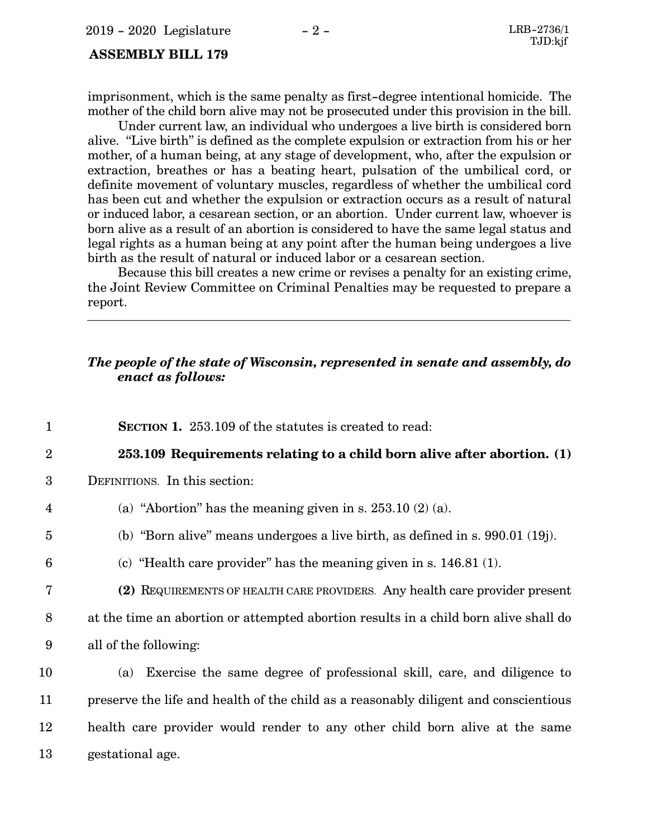### **ASSEMBLY BILL 179**

imprisonment, which is the same penalty as first-degree intentional homicide. The mother of the child born alive may not be prosecuted under this provision in the bill.

Under current law, an individual who undergoes a live birth is considered born alive. "Live birth" is defined as the complete expulsion or extraction from his or her mother, of a human being, at any stage of development, who, after the expulsion or extraction, breathes or has a beating heart, pulsation of the umbilical cord, or definite movement of voluntary muscles, regardless of whether the umbilical cord has been cut and whether the expulsion or extraction occurs as a result of natural or induced labor, a cesarean section, or an abortion. Under current law, whoever is born alive as a result of an abortion is considered to have the same legal status and legal rights as a human being at any point after the human being undergoes a live birth as the result of natural or induced labor or a cesarean section.

Because this bill creates a new crime or revises a penalty for an existing crime, the Joint Review Committee on Criminal Penalties may be requested to prepare a report.

### *The people of the state of Wisconsin, represented in senate and assembly, do enact as follows:*

**SECTION 1.** 253.109 of the statutes is created to read: 1

#### **253.109 Requirements relating to a child born alive after abortion. (1)** 2

DEFINITIONS. In this section: 3

6

7

- (a) "Abortion" has the meaning given in s.  $253.10(2)(a)$ . 4
- (b) "Born alive" means undergoes a live birth, as defined in s. 990.01 (19j). 5
	- (c) "Health care provider" has the meaning given in s. 146.81 (1).
	- **(2)** REQUIREMENTS OF HEALTH CARE PROVIDERS. Any health care provider present
- at the time an abortion or attempted abortion results in a child born alive shall do all of the following: 8 9
- (a) Exercise the same degree of professional skill, care, and diligence to preserve the life and health of the child as a reasonably diligent and conscientious health care provider would render to any other child born alive at the same gestational age. 10 11 12 13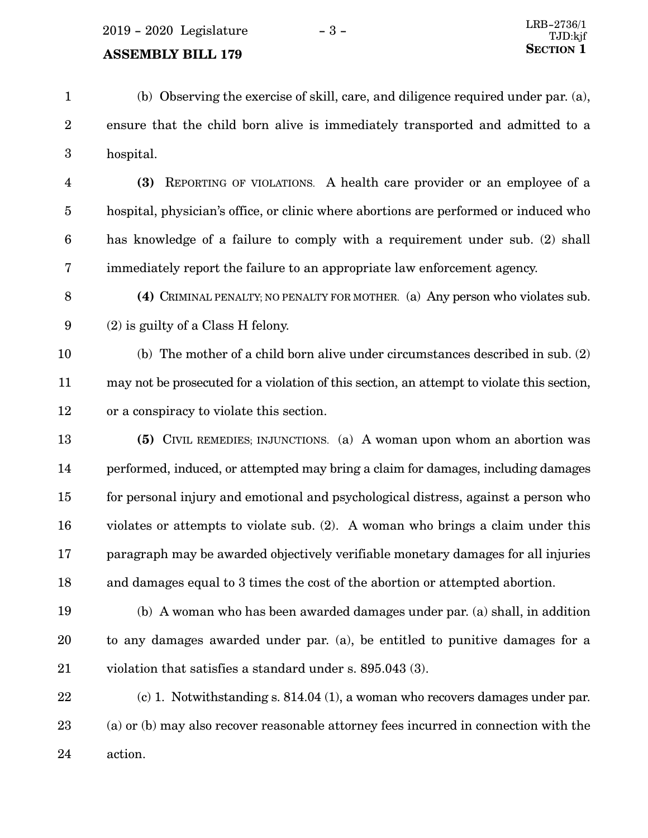## **SECTION** 1

(b) Observing the exercise of skill, care, and diligence required under par. (a), ensure that the child born alive is immediately transported and admitted to a hospital. 1 2 3

**(3)** REPORTING OF VIOLATIONS. A health care provider or an employee of a hospital, physician's office, or clinic where abortions are performed or induced who has knowledge of a failure to comply with a requirement under sub. (2) shall immediately report the failure to an appropriate law enforcement agency. 4 5 6 7

**(4)** CRIMINAL PENALTY; NO PENALTY FOR MOTHER. (a) Any person who violates sub. (2) is guilty of a Class H felony. 8 9

(b) The mother of a child born alive under circumstances described in sub. (2) may not be prosecuted for a violation of this section, an attempt to violate this section, or a conspiracy to violate this section. 10 11 12

**(5)** CIVIL REMEDIES; INJUNCTIONS. (a) A woman upon whom an abortion was performed, induced, or attempted may bring a claim for damages, including damages for personal injury and emotional and psychological distress, against a person who violates or attempts to violate sub. (2). A woman who brings a claim under this paragraph may be awarded objectively verifiable monetary damages for all injuries and damages equal to 3 times the cost of the abortion or attempted abortion. 13 14 15 16 17 18

(b) A woman who has been awarded damages under par. (a) shall, in addition to any damages awarded under par. (a), be entitled to punitive damages for a violation that satisfies a standard under s. 895.043 (3). 19 20 21

(c) 1. Notwithstanding s. 814.04 (1), a woman who recovers damages under par. (a) or (b) may also recover reasonable attorney fees incurred in connection with the action. 22 23 24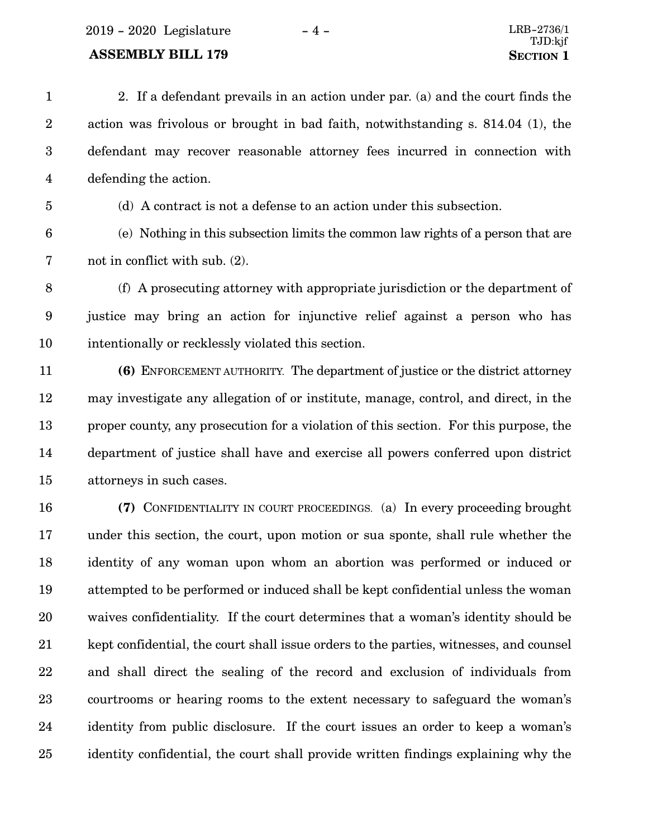2019 - 2020 Legislature - 4 - LRB-2736/1

## **ASSEMBLY BILL 179 SECTION 1**

2. If a defendant prevails in an action under par. (a) and the court finds the action was frivolous or brought in bad faith, notwithstanding s. 814.04 (1), the defendant may recover reasonable attorney fees incurred in connection with defending the action. (d) A contract is not a defense to an action under this subsection. (e) Nothing in this subsection limits the common law rights of a person that are not in conflict with sub. (2). 1 2 3 4 5 6 7

(f) A prosecuting attorney with appropriate jurisdiction or the department of justice may bring an action for injunctive relief against a person who has intentionally or recklessly violated this section. 8 9 10

**(6)** ENFORCEMENT AUTHORITY. The department of justice or the district attorney may investigate any allegation of or institute, manage, control, and direct, in the proper county, any prosecution for a violation of this section. For this purpose, the department of justice shall have and exercise all powers conferred upon district attorneys in such cases. 11 12 13 14 15

**(7)** CONFIDENTIALITY IN COURT PROCEEDINGS. (a) In every proceeding brought under this section, the court, upon motion or sua sponte, shall rule whether the identity of any woman upon whom an abortion was performed or induced or attempted to be performed or induced shall be kept confidential unless the woman waives confidentiality. If the court determines that a woman's identity should be kept confidential, the court shall issue orders to the parties, witnesses, and counsel and shall direct the sealing of the record and exclusion of individuals from courtrooms or hearing rooms to the extent necessary to safeguard the woman's identity from public disclosure. If the court issues an order to keep a woman's identity confidential, the court shall provide written findings explaining why the 16 17 18 19 20 21 22 23 24 25